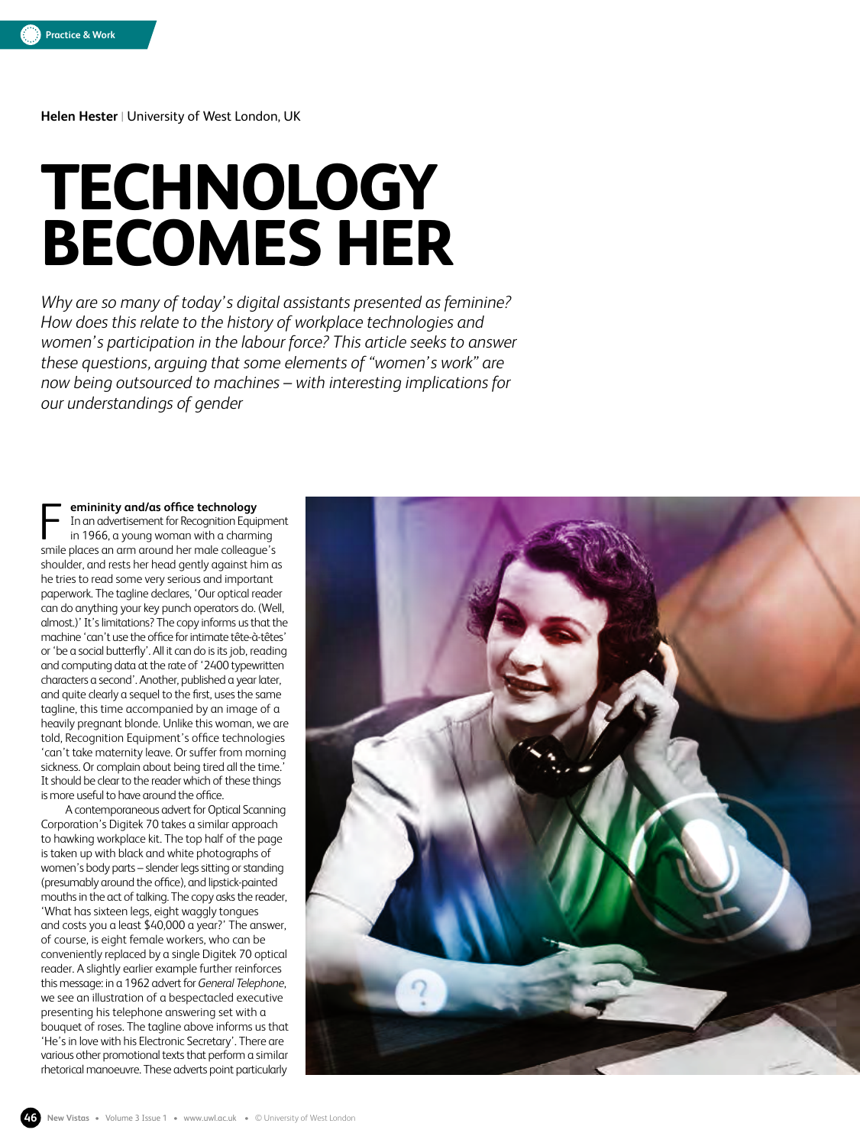**Helen Hester** | University of West London, UK

# **TECHNOLOGY BECOMES HER**

*Why are so many of today's digital assistants presented as feminine? How does this relate to the history of workplace technologies and women's participation in the labour force? This article seeks to answer these questions, arguing that some elements of "women's work" are now being outsourced to machines – with interesting implications for our understandings of gender*

**emininity and/as office technology** In an advertisement for Recognition Equipment in 1966, a young woman with a charming **EXECUTE: EXECUTE:** In an advertisement for Recognition Equipme in 1966, a young woman with a charming smile places an arm around her male colleague's shoulder, and rests her head gently against him as he tries to read some very serious and important paperwork. The tagline declares, 'Our optical reader can do anything your key punch operators do. (Well, almost.)' It's limitations? The copy informs us that the machine 'can't use the office for intimate tête-à-têtes' or 'be a social butterfly'. All it can do is its job, reading and computing data at the rate of '2400 typewritten characters a second'. Another, published a year later, and quite clearly a sequel to the first, uses the same tagline, this time accompanied by an image of a heavily pregnant blonde. Unlike this woman, we are told, Recognition Equipment's office technologies 'can't take maternity leave. Or suffer from morning sickness. Or complain about being tired all the time.' It should be clear to the reader which of these things is more useful to have around the office.

A contemporaneous advert for Optical Scanning Corporation's Digitek 70 takes a similar approach to hawking workplace kit. The top half of the page is taken up with black and white photographs of women's body parts – slender legs sitting or standing (presumably around the office), and lipstick-painted mouths in the act of talking. The copy asks the reader, 'What has sixteen legs, eight waggly tongues and costs you a least \$40,000 a year?' The answer, of course, is eight female workers, who can be conveniently replaced by a single Digitek 70 optical reader. A slightly earlier example further reinforces this message: in a 1962 advert for *General Telephone*, we see an illustration of a bespectacled executive presenting his telephone answering set with a bouquet of roses. The tagline above informs us that 'He's in love with his Electronic Secretary'. There are various other promotional texts that perform a similar rhetorical manoeuvre. These adverts point particularly

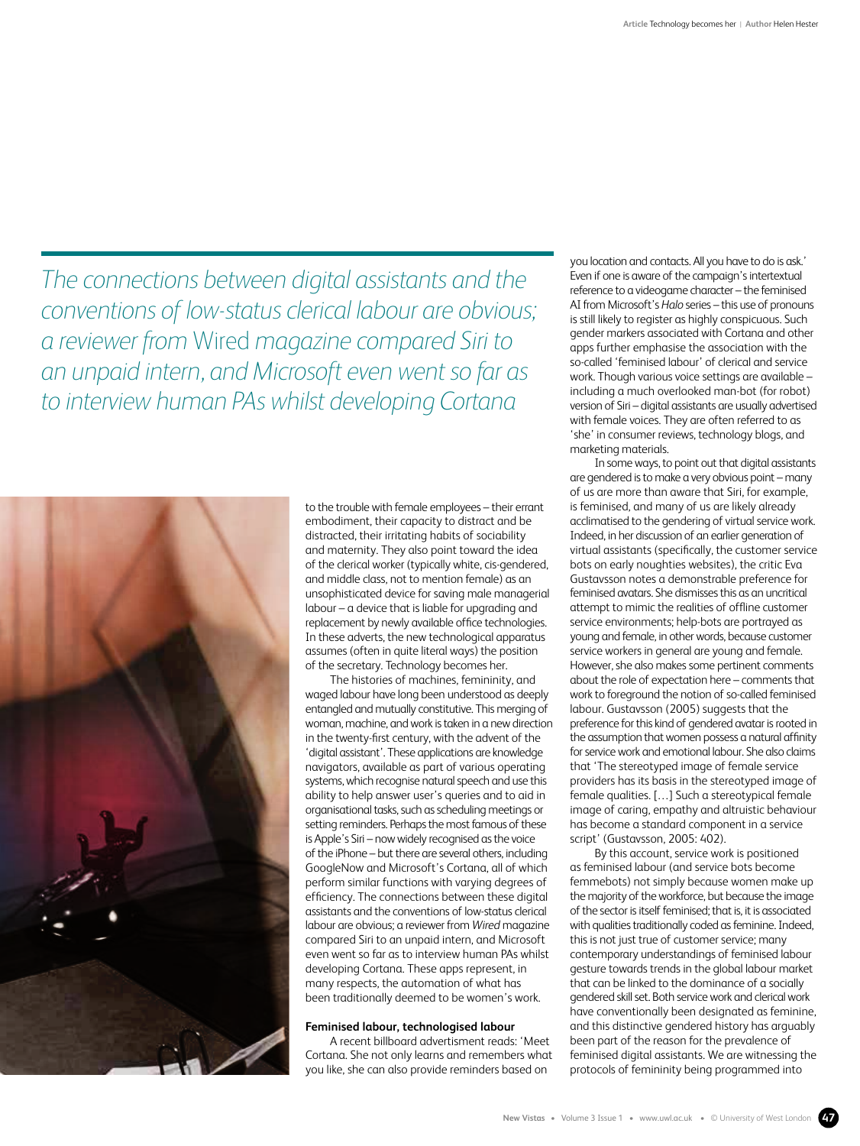*The connections between digital assistants and the conventions of low-status clerical labour are obvious; a reviewer from* Wired *magazine compared Siri to an unpaid intern, and Microsoft even went so far as to interview human PAs whilst developing Cortana*



to the trouble with female employees – their errant embodiment, their capacity to distract and be distracted, their irritating habits of sociability and maternity. They also point toward the idea of the clerical worker (typically white, cis-gendered, and middle class, not to mention female) as an unsophisticated device for saving male managerial labour – a device that is liable for upgrading and replacement by newly available office technologies. In these adverts, the new technological apparatus assumes (often in quite literal ways) the position of the secretary. Technology becomes her.

The histories of machines, femininity, and waged labour have long been understood as deeply entangled and mutually constitutive. This merging of woman, machine, and work is taken in a new direction in the twenty-first century, with the advent of the 'digital assistant'. These applications are knowledge navigators, available as part of various operating systems, which recognise natural speech and use this ability to help answer user's queries and to aid in organisational tasks, such as scheduling meetings or setting reminders. Perhaps the most famous of these is Apple's Siri – now widely recognised as the voice of the iPhone – but there are several others, including GoogleNow and Microsoft's Cortana, all of which perform similar functions with varying degrees of efficiency. The connections between these digital assistants and the conventions of low-status clerical labour are obvious; a reviewer from *Wired* magazine compared Siri to an unpaid intern, and Microsoft even went so far as to interview human PAs whilst developing Cortana. These apps represent, in many respects, the automation of what has been traditionally deemed to be women's work.

## **Feminised labour, technologised labour**

A recent billboard advertisment reads: 'Meet Cortana. She not only learns and remembers what you like, she can also provide reminders based on

you location and contacts. All you have to do is ask.' Even if one is aware of the campaign's intertextual reference to a videogame character – the feminised AI from Microsoft's *Halo* series – this use of pronouns is still likely to register as highly conspicuous. Such gender markers associated with Cortana and other apps further emphasise the association with the so-called 'feminised labour' of clerical and service work. Though various voice settings are available – including a much overlooked man-bot (for robot) version of Siri – digital assistants are usually advertised with female voices. They are often referred to as 'she' in consumer reviews, technology blogs, and marketing materials.

In some ways, to point out that digital assistants are gendered is to make a very obvious point – many of us are more than aware that Siri, for example, is feminised, and many of us are likely already acclimatised to the gendering of virtual service work. Indeed, in her discussion of an earlier generation of virtual assistants (specifically, the customer service bots on early noughties websites), the critic Eva Gustavsson notes a demonstrable preference for feminised avatars. She dismisses this as an uncritical attempt to mimic the realities of offline customer service environments; help-bots are portrayed as young and female, in other words, because customer service workers in general are young and female. However, she also makes some pertinent comments about the role of expectation here – comments that work to foreground the notion of so-called feminised labour. Gustavsson (2005) suggests that the preference for this kind of gendered avatar is rooted in the assumption that women possess a natural affinity for service work and emotional labour. She also claims that 'The stereotyped image of female service providers has its basis in the stereotyped image of female qualities. […] Such a stereotypical female image of caring, empathy and altruistic behaviour has become a standard component in a service script' (Gustavsson, 2005: 402).

By this account, service work is positioned as feminised labour (and service bots become femmebots) not simply because women make up the majority of the workforce, but because the image of the sector is itself feminised; that is, it is associated with qualities traditionally coded as feminine. Indeed, this is not just true of customer service; many contemporary understandings of feminised labour gesture towards trends in the global labour market that can be linked to the dominance of a socially gendered skill set. Both service work and clerical work have conventionally been designated as feminine, and this distinctive gendered history has arguably been part of the reason for the prevalence of feminised digital assistants. We are witnessing the protocols of femininity being programmed into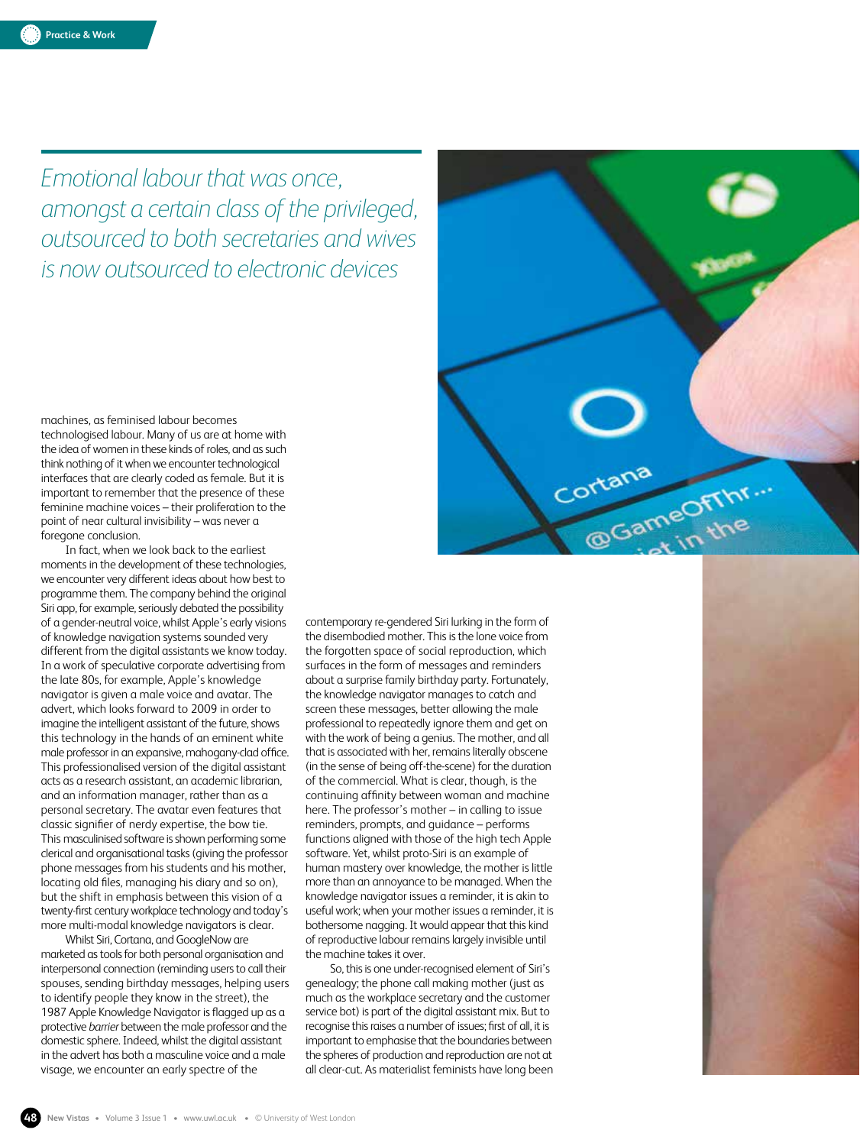*Emotional labour that was once, amongst a certain class of the privileged, outsourced to both secretaries and wives is now outsourced to electronic devices*

machines, as feminised labour becomes technologised labour. Many of us are at home with the idea of women in these kinds of roles, and as such think nothing of it when we encounter technological interfaces that are clearly coded as female. But it is important to remember that the presence of these feminine machine voices – their proliferation to the point of near cultural invisibility – was never a foregone conclusion.

In fact, when we look back to the earliest moments in the development of these technologies, we encounter very different ideas about how best to programme them. The company behind the original Siri app, for example, seriously debated the possibility of a gender-neutral voice, whilst Apple's early visions of knowledge navigation systems sounded very different from the digital assistants we know today. In a work of speculative corporate advertising from the late 80s, for example, Apple's knowledge navigator is given a male voice and avatar. The advert, which looks forward to 2009 in order to imagine the intelligent assistant of the future, shows this technology in the hands of an eminent white male professor in an expansive, mahogany-clad office. This professionalised version of the digital assistant acts as a research assistant, an academic librarian, and an information manager, rather than as a personal secretary. The avatar even features that classic signifier of nerdy expertise, the bow tie. This masculinised software is shown performing some clerical and organisational tasks (giving the professor phone messages from his students and his mother, locating old files, managing his diary and so on), but the shift in emphasis between this vision of a twenty-first century workplace technology and today's more multi-modal knowledge navigators is clear.

Whilst Siri, Cortana, and GoogleNow are marketed as tools for both personal organisation and interpersonal connection (reminding users to call their spouses, sending birthday messages, helping users to identify people they know in the street), the 1987 Apple Knowledge Navigator is flagged up as a protective *barrier* between the male professor and the domestic sphere. Indeed, whilst the digital assistant in the advert has both a masculine voice and a male visage, we encounter an early spectre of the

contemporary re-gendered Siri lurking in the form of the disembodied mother. This is the lone voice from the forgotten space of social reproduction, which surfaces in the form of messages and reminders about a surprise family birthday party. Fortunately, the knowledge navigator manages to catch and screen these messages, better allowing the male professional to repeatedly ignore them and get on with the work of being a genius. The mother, and all that is associated with her, remains literally obscene (in the sense of being off-the-scene) for the duration of the commercial. What is clear, though, is the continuing affinity between woman and machine here. The professor's mother – in calling to issue reminders, prompts, and guidance – performs functions aligned with those of the high tech Apple software. Yet, whilst proto-Siri is an example of human mastery over knowledge, the mother is little more than an annoyance to be managed. When the knowledge navigator issues a reminder, it is akin to useful work; when your mother issues a reminder, it is bothersome nagging. It would appear that this kind of reproductive labour remains largely invisible until the machine takes it over.

So, this is one under-recognised element of Siri's genealogy; the phone call making mother (just as much as the workplace secretary and the customer service bot) is part of the digital assistant mix. But to recognise this raises a number of issues; first of all, it is important to emphasise that the boundaries between the spheres of production and reproduction are not at all clear-cut. As materialist feminists have long been



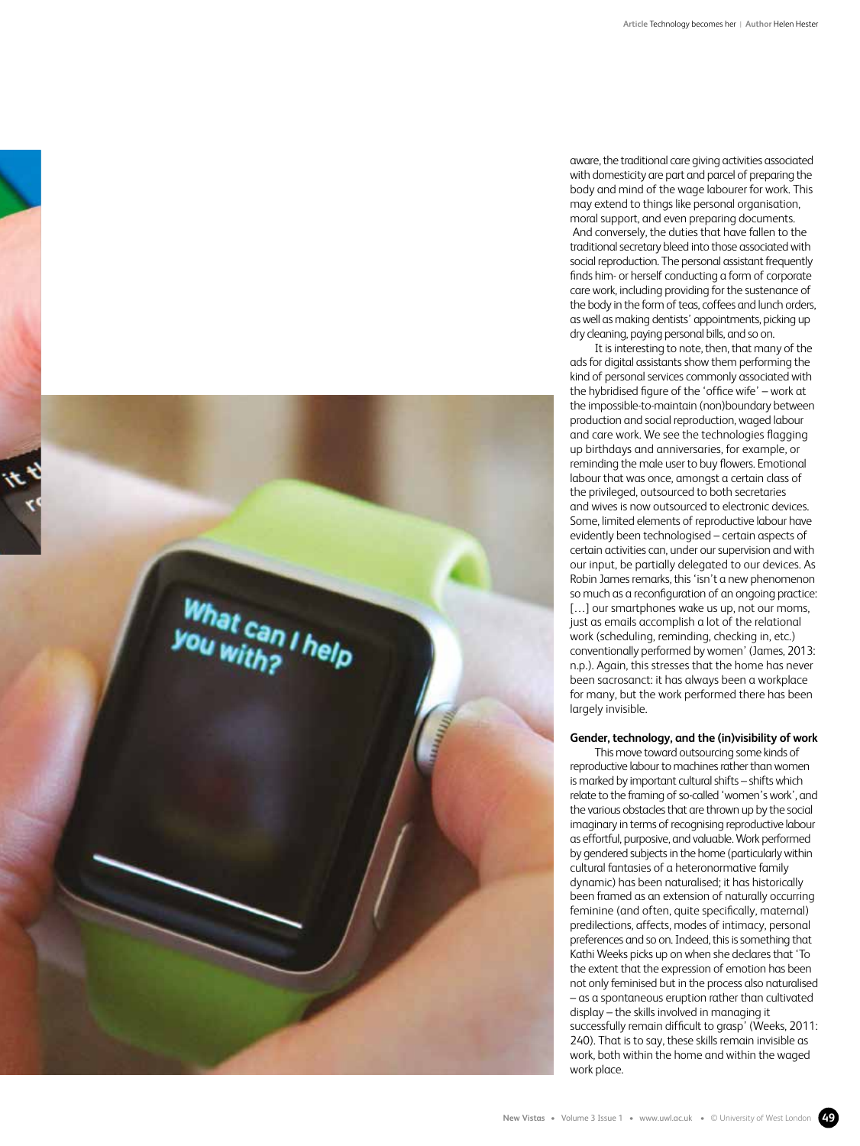

It is interesting to note, then, that many of the ads for digital assistants show them performing the kind of personal services commonly associated with the hybridised figure of the 'office wife' – work at the impossible-to-maintain (non)boundary between production and social reproduction, waged labour and care work. We see the technologies flagging up birthdays and anniversaries, for example, or reminding the male user to buy flowers. Emotional labour that was once, amongst a certain class of the privileged, outsourced to both secretaries and wives is now outsourced to electronic devices. Some, limited elements of reproductive labour have evidently been technologised – certain aspects of certain activities can, under our supervision and with our input, be partially delegated to our devices. As Robin James remarks, this 'isn't a new phenomenon so much as a reconfiguration of an ongoing practice: [...] our smartphones wake us up, not our moms, just as emails accomplish a lot of the relational work (scheduling, reminding, checking in, etc.) conventionally performed by women' (James, 2013: n.p.). Again, this stresses that the home has never been sacrosanct: it has always been a workplace for many, but the work performed there has been largely invisible.

# **Gender, technology, and the (in)visibility of work**

What can I help

This move toward outsourcing some kinds of reproductive labour to machines rather than women is marked by important cultural shifts – shifts which relate to the framing of so-called 'women's work', and the various obstacles that are thrown up by the social imaginary in terms of recognising reproductive labour as effortful, purposive, and valuable. Work performed by gendered subjects in the home (particularly within cultural fantasies of a heteronormative family dynamic) has been naturalised; it has historically been framed as an extension of naturally occurring feminine (and often, quite specifically, maternal) predilections, affects, modes of intimacy, personal preferences and so on. Indeed, this is something that Kathi Weeks picks up on when she declares that 'To the extent that the expression of emotion has been not only feminised but in the process also naturalised – as a spontaneous eruption rather than cultivated display – the skills involved in managing it successfully remain difficult to grasp' (Weeks, 2011: 240). That is to say, these skills remain invisible as work, both within the home and within the waged work place.